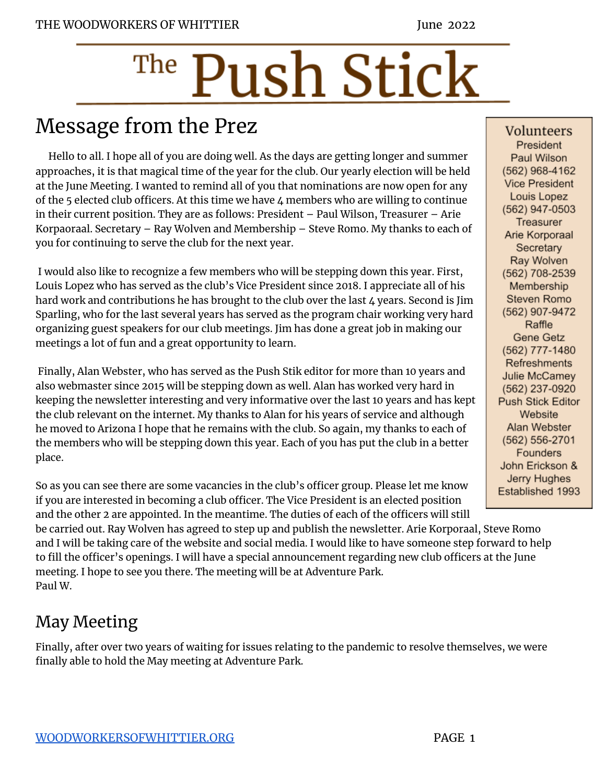# The Push Stick

# Message from the Prez

Hello to all. I hope all of you are doing well. As the days are getting longer and summer approaches, it is that magical time of the year for the club. Our yearly election will be held at the June Meeting. I wanted to remind all of you that nominations are now open for any of the 5 elected club officers. At this time we have 4 members who are willing to continue in their current position. They are as follows: President – Paul Wilson, Treasurer – Arie Korpaoraal. Secretary – Ray Wolven and Membership – Steve Romo. My thanks to each of you for continuing to serve the club for the next year.

I would also like to recognize a few members who will be stepping down this year. First, Louis Lopez who has served as the club's Vice President since 2018. I appreciate all of his hard work and contributions he has brought to the club over the last  $4$  years. Second is Jim Sparling, who for the last several years has served as the program chair working very hard organizing guest speakers for our club meetings. Jim has done a great job in making our meetings a lot of fun and a great opportunity to learn.

Finally, Alan Webster, who has served as the Push Stik editor for more than 10 years and also webmaster since 2015 will be stepping down as well. Alan has worked very hard in keeping the newsletter interesting and very informative over the last 10 years and has kept the club relevant on the internet. My thanks to Alan for his years of service and although he moved to Arizona I hope that he remains with the club. So again, my thanks to each of the members who will be stepping down this year. Each of you has put the club in a better place.

So as you can see there are some vacancies in the club's officer group. Please let me know if you are interested in becoming a club officer. The Vice President is an elected position and the other 2 are appointed. In the meantime. The duties of each of the officers will still

be carried out. Ray Wolven has agreed to step up and publish the newsletter. Arie Korporaal, Steve Romo and I will be taking care of the website and social media. I would like to have someone step forward to help to fill the officer's openings. I will have a special announcement regarding new club officers at the June meeting. I hope to see you there. The meeting will be at Adventure Park. Paul W.

## May Meeting

Finally, after over two years of waiting for issues relating to the pandemic to resolve themselves, we were finally able to hold the May meeting at Adventure Park.

Volunteers President Paul Wilson (562) 968-4162 **Vice President** Louis Lopez (562) 947-0503 Treasurer Arie Korporaal Secretary Ray Wolven (562) 708-2539 Membership Steven Romo (562) 907-9472 Raffle Gene Getz (562) 777-1480 Refreshments Julie McCamey (562) 237-0920 Push Stick Editor Website Alan Webster (562) 556-2701 Founders John Erickson & Jerry Hughes Established 1993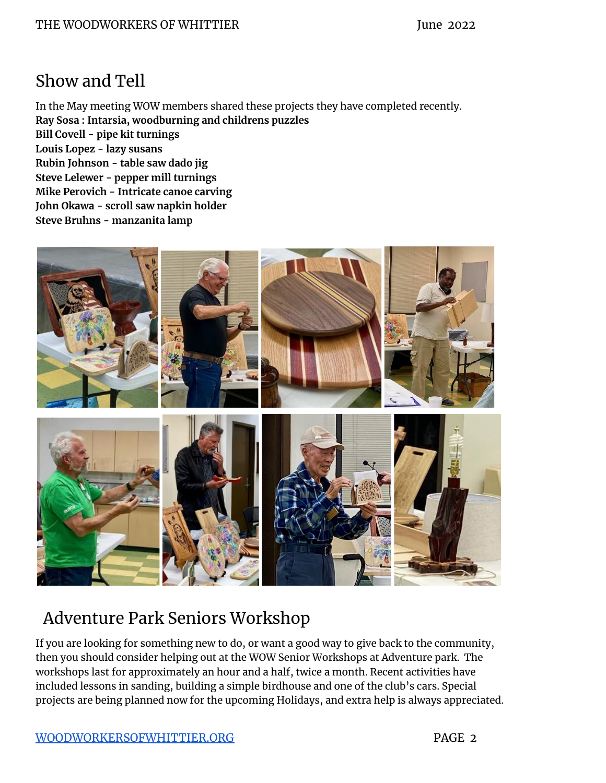#### Show and Tell

In the May meeting WOW members shared these projects they have completed recently. **Ray Sosa : Intarsia, woodburning and childrens puzzles Bill Covell - pipe kit turnings Louis Lopez - lazy susans Rubin Johnson - table saw dado jig Steve Lelewer - pepper mill turnings Mike Perovich - Intricate canoe carving John Okawa - scroll saw napkin holder Steve Bruhns - manzanita lamp**



## Adventure Park Seniors Workshop

If you are looking for something new to do, or want a good way to give back to the community, then you should consider helping out at the WOW Senior Workshops at Adventure park. The workshops last for approximately an hour and a half, twice a month. Recent activities have included lessons in sanding, building a simple birdhouse and one of the club's cars. Special projects are being planned now for the upcoming Holidays, and extra help is always appreciated.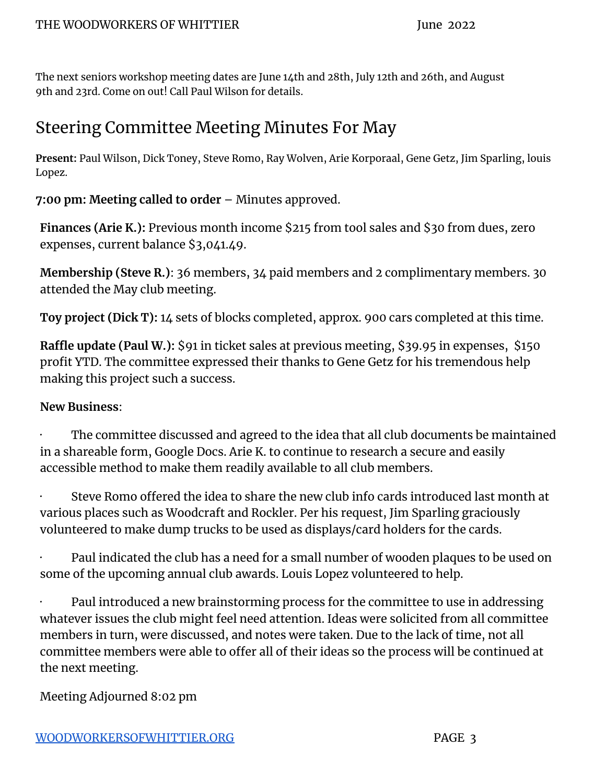The next seniors workshop meeting dates are June 14th and 28th, July 12th and 26th, and August 9th and 23rd. Come on out! Call Paul Wilson for details.

#### Steering Committee Meeting Minutes For May

**Present:** Paul Wilson, Dick Toney, Steve Romo, Ray Wolven, Arie Korporaal, Gene Getz, Jim Sparling, louis Lopez.

**7:00 pm: Meeting called to order** – Minutes approved.

**Finances (Arie K.):** Previous month income \$215 from tool sales and \$30 from dues, zero expenses, current balance \$3,041.49.

**Membership (Steve R.)**: 36 members, 34 paid members and 2 complimentary members. 30 attended the May club meeting.

**Toy project (Dick T):** 14 sets of blocks completed, approx. 900 cars completed at this time.

**Raffle update (Paul W.):** \$91 in ticket sales at previous meeting, \$39.95 in expenses, \$150 profit YTD. The committee expressed their thanks to Gene Getz for his tremendous help making this project such a success.

#### **New Business**:

The committee discussed and agreed to the idea that all club documents be maintained in a shareable form, Google Docs. Arie K. to continue to research a secure and easily accessible method to make them readily available to all club members.

Steve Romo offered the idea to share the new club info cards introduced last month at various places such as Woodcraft and Rockler. Per his request, Jim Sparling graciously volunteered to make dump trucks to be used as displays/card holders for the cards.

Paul indicated the club has a need for a small number of wooden plaques to be used on some of the upcoming annual club awards. Louis Lopez volunteered to help.

Paul introduced a new brainstorming process for the committee to use in addressing whatever issues the club might feel need attention. Ideas were solicited from all committee members in turn, were discussed, and notes were taken. Due to the lack of time, not all committee members were able to offer all of their ideas so the process will be continued at the next meeting.

Meeting Adjourned 8:02 pm